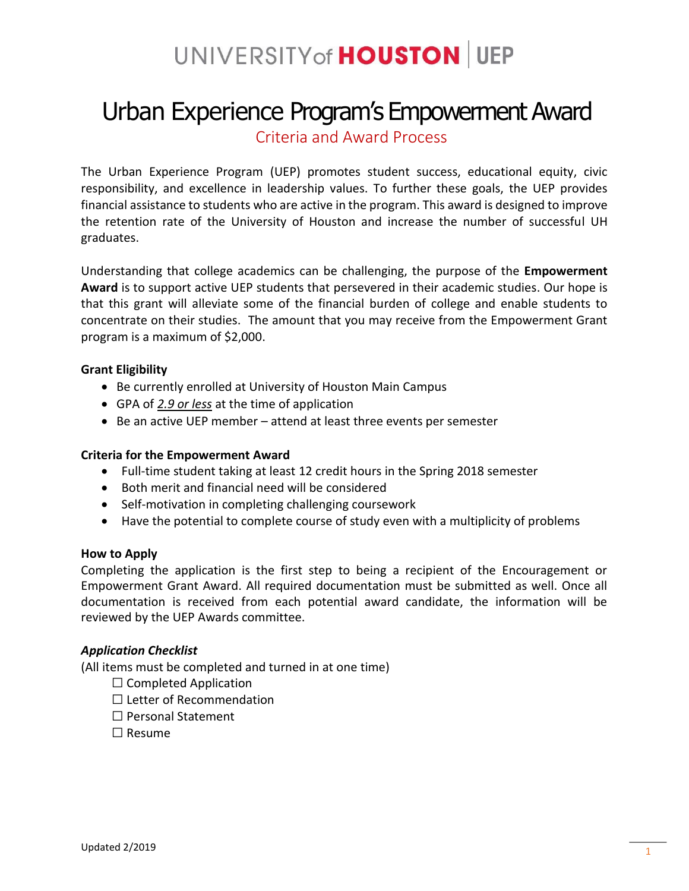## UNIVERSITY of HOUSTON UEP

# Urban Experience Program's Empowerment Award

Criteria and Award Process

The Urban Experience Program (UEP) promotes student success, educational equity, civic responsibility, and excellence in leadership values. To further these goals, the UEP provides financial assistance to students who are active in the program. This award is designed to improve the retention rate of the University of Houston and increase the number of successful UH graduates.

Understanding that college academics can be challenging, the purpose of the **Empowerment Award** is to support active UEP students that persevered in their academic studies. Our hope is that this grant will alleviate some of the financial burden of college and enable students to concentrate on their studies. The amount that you may receive from the Empowerment Grant program is a maximum of \$2,000.

### **Grant Eligibility**

- Be currently enrolled at University of Houston Main Campus
- GPA of *2.9 or less* at the time of application
- Be an active UEP member attend at least three events per semester

### **Criteria for the Empowerment Award**

- Full-time student taking at least 12 credit hours in the Spring 2018 semester
- Both merit and financial need will be considered
- Self-motivation in completing challenging coursework
- Have the potential to complete course of study even with a multiplicity of problems

### **How to Apply**

Completing the application is the first step to being a recipient of the Encouragement or Empowerment Grant Award. All required documentation must be submitted as well. Once all documentation is received from each potential award candidate, the information will be reviewed by the UEP Awards committee.

### *Application Checklist*

(All items must be completed and turned in at one time)

- $\square$  Completed Application
- □ Letter of Recommendation
- □Personal Statement
- □Resume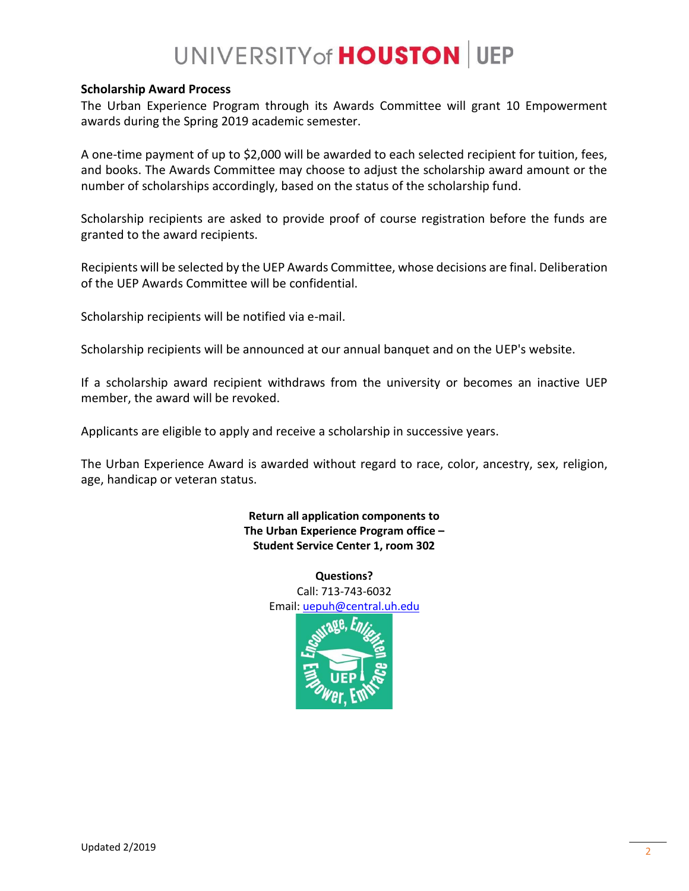### UNIVERSITY of HOUSTON UEP

#### **Scholarship Award Process**

The Urban Experience Program through its Awards Committee will grant 10 Empowerment awards during the Spring 2019 academic semester.

A one-time payment of up to \$2,000 will be awarded to each selected recipient for tuition, fees, and books. The Awards Committee may choose to adjust the scholarship award amount or the number of scholarships accordingly, based on the status of the scholarship fund.

Scholarship recipients are asked to provide proof of course registration before the funds are granted to the award recipients.

Recipients will be selected by the UEP Awards Committee, whose decisions are final. Deliberation of the UEP Awards Committee will be confidential.

Scholarship recipients will be notified via e-mail.

Scholarship recipients will be announced at our annual banquet and on the UEP's website.

If a scholarship award recipient withdraws from the university or becomes an inactive UEP member, the award will be revoked.

Applicants are eligible to apply and receive a scholarship in successive years.

The Urban Experience Award is awarded without regard to race, color, ancestry, sex, religion, age, handicap or veteran status.

> **Return all application components to The Urban Experience Program office – Student Service Center 1, room 302**

> > **Questions?** Call: 713-743-6032 Email: [uepuh@central.uh.edu](mailto:uepuh@central.uh.edu)